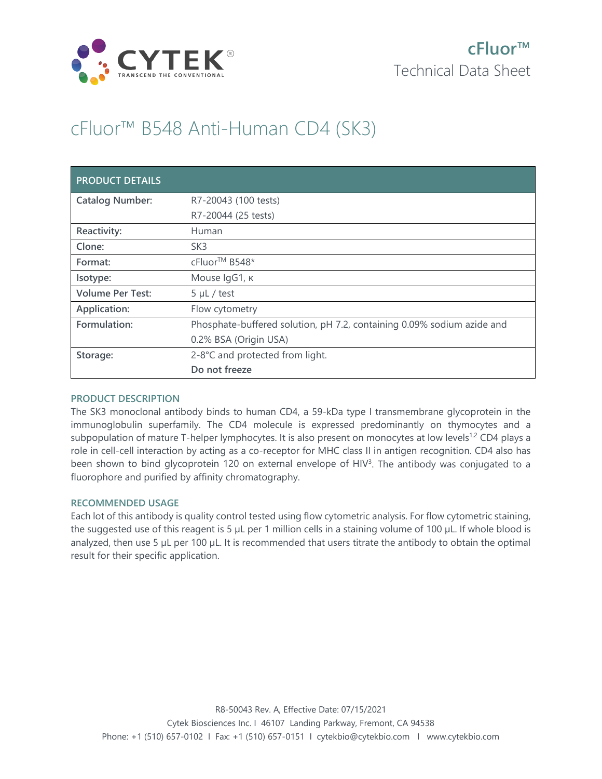

# cFluor™ B548 Anti-Human CD4 (SK3)

| <b>PRODUCT DETAILS</b>  |                                                                        |
|-------------------------|------------------------------------------------------------------------|
| <b>Catalog Number:</b>  | R7-20043 (100 tests)                                                   |
|                         | R7-20044 (25 tests)                                                    |
| Reactivity:             | Human                                                                  |
| Clone:                  | SK <sub>3</sub>                                                        |
| Format:                 | cFluor <sup>™</sup> B548*                                              |
| Isotype:                | Mouse IgG1, к                                                          |
| <b>Volume Per Test:</b> | $5 \mu L$ / test                                                       |
| Application:            | Flow cytometry                                                         |
| Formulation:            | Phosphate-buffered solution, pH 7.2, containing 0.09% sodium azide and |
|                         | 0.2% BSA (Origin USA)                                                  |
| Storage:                | 2-8°C and protected from light.                                        |
|                         | Do not freeze                                                          |

## **PRODUCT DESCRIPTION**

The SK3 monoclonal antibody binds to human CD4, a 59-kDa type I transmembrane glycoprotein in the immunoglobulin superfamily. The CD4 molecule is expressed predominantly on thymocytes and a subpopulation of mature T-helper lymphocytes. It is also present on monocytes at low levels<sup>1,2</sup> CD4 plays a role in cell-cell interaction by acting as a co-receptor for MHC class II in antigen recognition. CD4 also has been shown to bind glycoprotein 120 on external envelope of HIV<sup>3</sup>. The antibody was conjugated to a fluorophore and purified by affinity chromatography.

## **RECOMMENDED USAGE**

Each lot of this antibody is quality control tested using flow cytometric analysis. For flow cytometric staining, the suggested use of this reagent is 5 µL per 1 million cells in a staining volume of 100 µL. If whole blood is analyzed, then use 5 µL per 100 µL. It is recommended that users titrate the antibody to obtain the optimal result for their specific application.